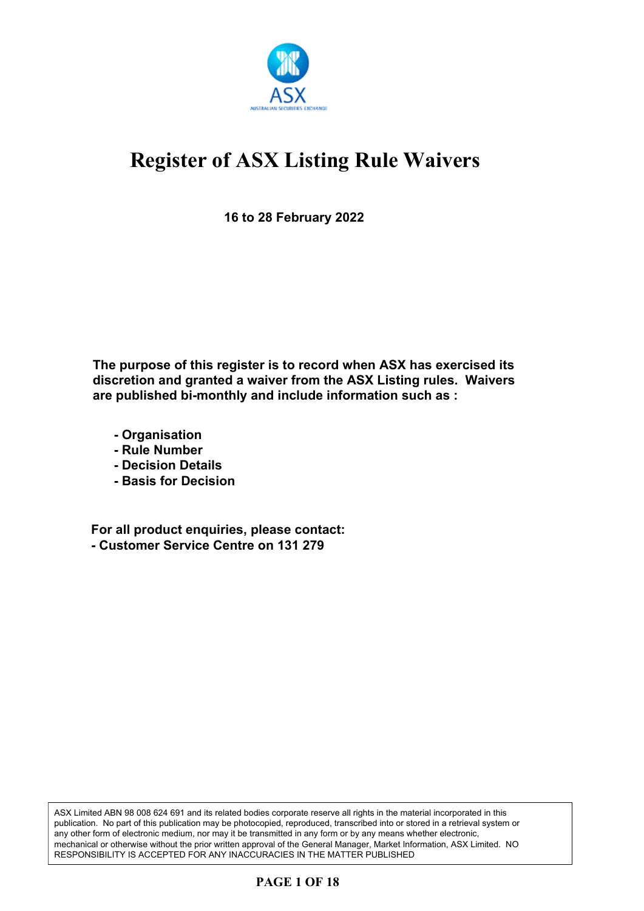

**16 to 28 February 2022**

**The purpose of this register is to record when ASX has exercised its discretion and granted a waiver from the ASX Listing rules. Waivers are published bi-monthly and include information such as :**

- **Organisation**
- **Rule Number**
- **Decision Details**
- **Basis for Decision**

**For all product enquiries, please contact: - Customer Service Centre on 131 279**

ASX Limited ABN 98 008 624 691 and its related bodies corporate reserve all rights in the material incorporated in this publication. No part of this publication may be photocopied, reproduced, transcribed into or stored in a retrieval system or any other form of electronic medium, nor may it be transmitted in any form or by any means whether electronic, mechanical or otherwise without the prior written approval of the General Manager, Market Information, ASX Limited. NO RESPONSIBILITY IS ACCEPTED FOR ANY INACCURACIES IN THE MATTER PUBLISHED

### **PAGE 1 OF 18**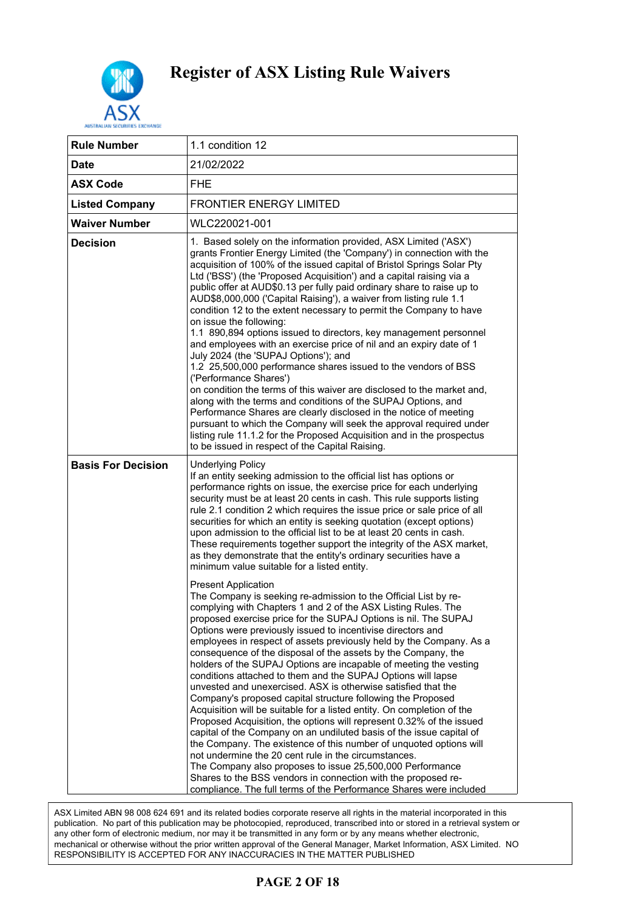

| <b>Rule Number</b>        | 1.1 condition 12                                                                                                                                                                                                                                                                                                                                                                                                                                                                                                                                                                                                                                                                                                                                                                                                                                                                                                                                                                                                                                                                                                                                                                                                                                                                                                                                                                                                                                                                                                                                                                                                                                                                                                                                                                                                                                                                                                                                    |
|---------------------------|-----------------------------------------------------------------------------------------------------------------------------------------------------------------------------------------------------------------------------------------------------------------------------------------------------------------------------------------------------------------------------------------------------------------------------------------------------------------------------------------------------------------------------------------------------------------------------------------------------------------------------------------------------------------------------------------------------------------------------------------------------------------------------------------------------------------------------------------------------------------------------------------------------------------------------------------------------------------------------------------------------------------------------------------------------------------------------------------------------------------------------------------------------------------------------------------------------------------------------------------------------------------------------------------------------------------------------------------------------------------------------------------------------------------------------------------------------------------------------------------------------------------------------------------------------------------------------------------------------------------------------------------------------------------------------------------------------------------------------------------------------------------------------------------------------------------------------------------------------------------------------------------------------------------------------------------------------|
| Date                      | 21/02/2022                                                                                                                                                                                                                                                                                                                                                                                                                                                                                                                                                                                                                                                                                                                                                                                                                                                                                                                                                                                                                                                                                                                                                                                                                                                                                                                                                                                                                                                                                                                                                                                                                                                                                                                                                                                                                                                                                                                                          |
| <b>ASX Code</b>           | <b>FHE</b>                                                                                                                                                                                                                                                                                                                                                                                                                                                                                                                                                                                                                                                                                                                                                                                                                                                                                                                                                                                                                                                                                                                                                                                                                                                                                                                                                                                                                                                                                                                                                                                                                                                                                                                                                                                                                                                                                                                                          |
| <b>Listed Company</b>     | <b>FRONTIER ENERGY LIMITED</b>                                                                                                                                                                                                                                                                                                                                                                                                                                                                                                                                                                                                                                                                                                                                                                                                                                                                                                                                                                                                                                                                                                                                                                                                                                                                                                                                                                                                                                                                                                                                                                                                                                                                                                                                                                                                                                                                                                                      |
| <b>Waiver Number</b>      | WLC220021-001                                                                                                                                                                                                                                                                                                                                                                                                                                                                                                                                                                                                                                                                                                                                                                                                                                                                                                                                                                                                                                                                                                                                                                                                                                                                                                                                                                                                                                                                                                                                                                                                                                                                                                                                                                                                                                                                                                                                       |
| <b>Decision</b>           | 1. Based solely on the information provided, ASX Limited ('ASX')<br>grants Frontier Energy Limited (the 'Company') in connection with the<br>acquisition of 100% of the issued capital of Bristol Springs Solar Pty<br>Ltd ('BSS') (the 'Proposed Acquisition') and a capital raising via a<br>public offer at AUD\$0.13 per fully paid ordinary share to raise up to<br>AUD\$8,000,000 ('Capital Raising'), a waiver from listing rule 1.1<br>condition 12 to the extent necessary to permit the Company to have<br>on issue the following:<br>1.1 890,894 options issued to directors, key management personnel<br>and employees with an exercise price of nil and an expiry date of 1<br>July 2024 (the 'SUPAJ Options'); and<br>1.2 25,500,000 performance shares issued to the vendors of BSS<br>('Performance Shares')<br>on condition the terms of this waiver are disclosed to the market and,<br>along with the terms and conditions of the SUPAJ Options, and<br>Performance Shares are clearly disclosed in the notice of meeting<br>pursuant to which the Company will seek the approval required under<br>listing rule 11.1.2 for the Proposed Acquisition and in the prospectus<br>to be issued in respect of the Capital Raising.                                                                                                                                                                                                                                                                                                                                                                                                                                                                                                                                                                                                                                                                                                    |
| <b>Basis For Decision</b> | <b>Underlying Policy</b><br>If an entity seeking admission to the official list has options or<br>performance rights on issue, the exercise price for each underlying<br>security must be at least 20 cents in cash. This rule supports listing<br>rule 2.1 condition 2 which requires the issue price or sale price of all<br>securities for which an entity is seeking quotation (except options)<br>upon admission to the official list to be at least 20 cents in cash.<br>These requirements together support the integrity of the ASX market,<br>as they demonstrate that the entity's ordinary securities have a<br>minimum value suitable for a listed entity.<br><b>Present Application</b><br>The Company is seeking re-admission to the Official List by re-<br>complying with Chapters 1 and 2 of the ASX Listing Rules. The<br>proposed exercise price for the SUPAJ Options is nil. The SUPAJ<br>Options were previously issued to incentivise directors and<br>employees in respect of assets previously held by the Company. As a<br>consequence of the disposal of the assets by the Company, the<br>holders of the SUPAJ Options are incapable of meeting the vesting<br>conditions attached to them and the SUPAJ Options will lapse<br>unvested and unexercised. ASX is otherwise satisfied that the<br>Company's proposed capital structure following the Proposed<br>Acquisition will be suitable for a listed entity. On completion of the<br>Proposed Acquisition, the options will represent 0.32% of the issued<br>capital of the Company on an undiluted basis of the issue capital of<br>the Company. The existence of this number of unquoted options will<br>not undermine the 20 cent rule in the circumstances.<br>The Company also proposes to issue 25,500,000 Performance<br>Shares to the BSS vendors in connection with the proposed re-<br>compliance. The full terms of the Performance Shares were included |

ASX Limited ABN 98 008 624 691 and its related bodies corporate reserve all rights in the material incorporated in this publication. No part of this publication may be photocopied, reproduced, transcribed into or stored in a retrieval system or any other form of electronic medium, nor may it be transmitted in any form or by any means whether electronic, mechanical or otherwise without the prior written approval of the General Manager, Market Information, ASX Limited. NO RESPONSIBILITY IS ACCEPTED FOR ANY INACCURACIES IN THE MATTER PUBLISHED

### **PAGE 2 OF 18**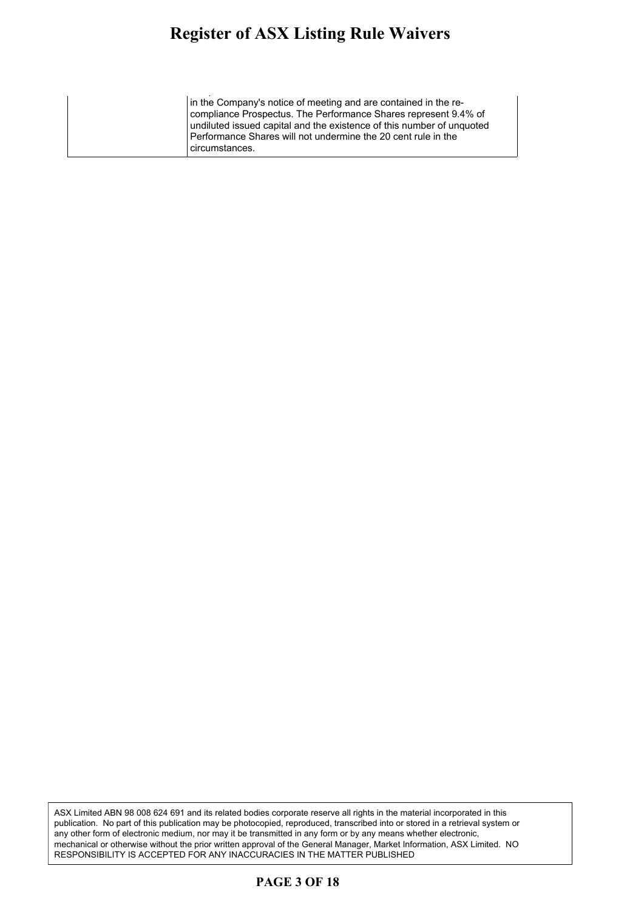#### **Register of ASX Listing Rule Waivers** gister of ASA Listing Ruie Waivers the Company. The existence of this number of unquoted options will

compliance. The full terms of the full terms of the Performance Shares were included by  $\mathcal{L}_\text{max}$ in the Company's notice of meeting and are contained in the recompliance Prospectus. The Performance Shares represent 9.4% of undiluted issued capital and the existence of this number of unquoted Performance Shares will not undermine the 20 cent rule in the circumstances.

ASX Limited ABN 98 008 624 691 and its related bodies corporate reserve all rights in the material incorporated in this publication. No part of this publication may be photocopied, reproduced, transcribed into or stored in a retrieval system or any other form of electronic medium, nor may it be transmitted in any form or by any means whether electronic, mechanical or otherwise without the prior written approval of the General Manager, Market Information, ASX Limited. NO RESPONSIBILITY IS ACCEPTED FOR ANY INACCURACIES IN THE MATTER PUBLISHED

#### **PAGE 3 OF 18**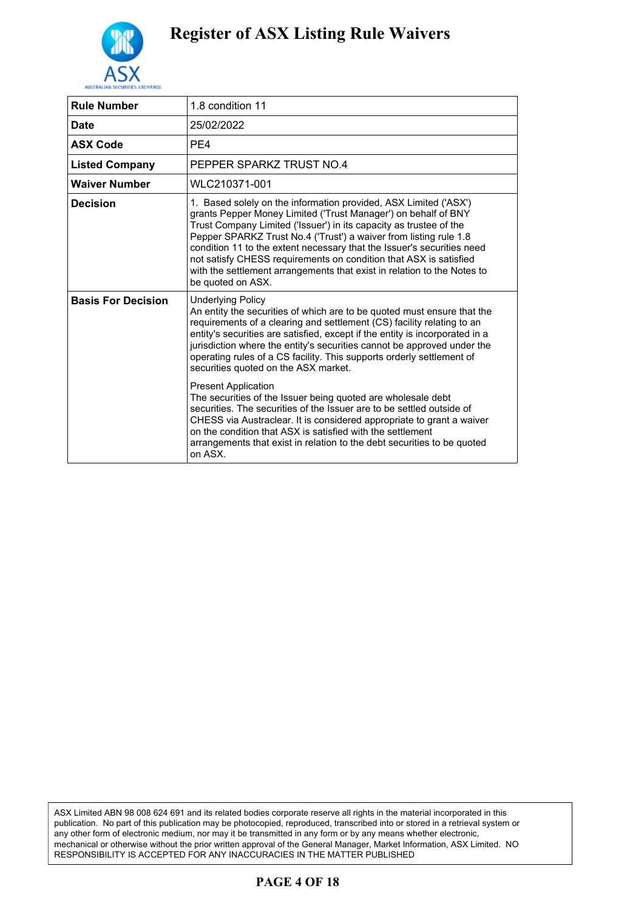

| <b>Rule Number</b>        | 1.8 condition 11                                                                                                                                                                                                                                                                                                                                                                                                                                                                                                             |
|---------------------------|------------------------------------------------------------------------------------------------------------------------------------------------------------------------------------------------------------------------------------------------------------------------------------------------------------------------------------------------------------------------------------------------------------------------------------------------------------------------------------------------------------------------------|
| <b>Date</b>               | 25/02/2022                                                                                                                                                                                                                                                                                                                                                                                                                                                                                                                   |
| <b>ASX Code</b>           | PE4                                                                                                                                                                                                                                                                                                                                                                                                                                                                                                                          |
| <b>Listed Company</b>     | PEPPER SPARKZ TRUST NO.4                                                                                                                                                                                                                                                                                                                                                                                                                                                                                                     |
| <b>Waiver Number</b>      | WLC210371-001                                                                                                                                                                                                                                                                                                                                                                                                                                                                                                                |
| <b>Decision</b>           | 1. Based solely on the information provided, ASX Limited ('ASX')<br>grants Pepper Money Limited ('Trust Manager') on behalf of BNY<br>Trust Company Limited ('Issuer') in its capacity as trustee of the<br>Pepper SPARKZ Trust No.4 ('Trust') a waiver from listing rule 1.8<br>condition 11 to the extent necessary that the Issuer's securities need<br>not satisfy CHESS requirements on condition that ASX is satisfied<br>with the settlement arrangements that exist in relation to the Notes to<br>be quoted on ASX. |
| <b>Basis For Decision</b> | <b>Underlying Policy</b><br>An entity the securities of which are to be quoted must ensure that the<br>requirements of a clearing and settlement (CS) facility relating to an<br>entity's securities are satisfied, except if the entity is incorporated in a<br>jurisdiction where the entity's securities cannot be approved under the<br>operating rules of a CS facility. This supports orderly settlement of<br>securities quoted on the ASX market.                                                                    |
|                           | <b>Present Application</b><br>The securities of the Issuer being quoted are wholesale debt<br>securities. The securities of the Issuer are to be settled outside of<br>CHESS via Austraclear. It is considered appropriate to grant a waiver<br>on the condition that ASX is satisfied with the settlement<br>arrangements that exist in relation to the debt securities to be quoted<br>on ASX.                                                                                                                             |

ASX Limited ABN 98 008 624 691 and its related bodies corporate reserve all rights in the material incorporated in this publication. No part of this publication may be photocopied, reproduced, transcribed into or stored in a retrieval system or any other form of electronic medium, nor may it be transmitted in any form or by any means whether electronic, mechanical or otherwise without the prior written approval of the General Manager, Market Information, ASX Limited. NO RESPONSIBILITY IS ACCEPTED FOR ANY INACCURACIES IN THE MATTER PUBLISHED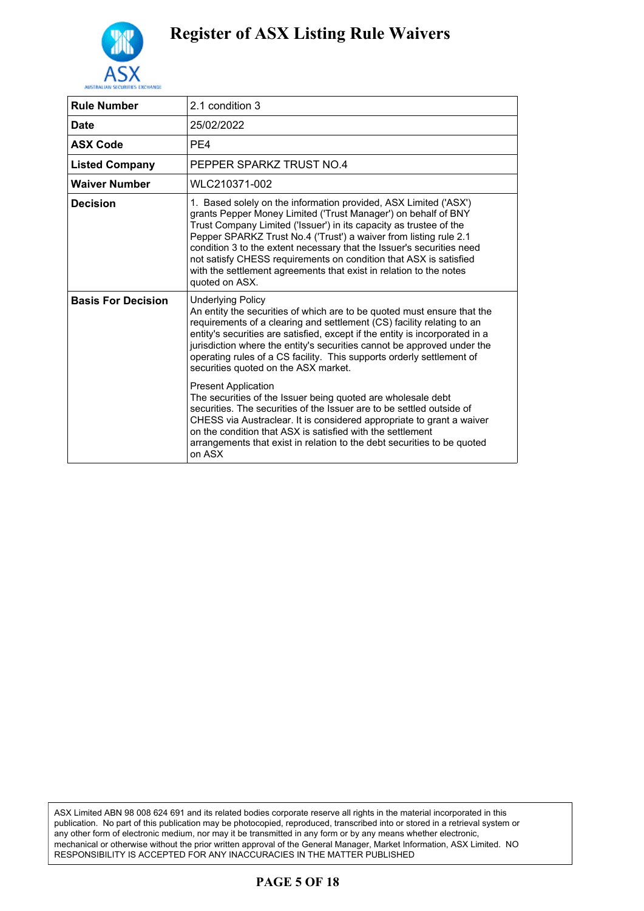

| <b>Rule Number</b>        | 2.1 condition 3                                                                                                                                                                                                                                                                                                                                                                                                                                                                                                                                         |
|---------------------------|---------------------------------------------------------------------------------------------------------------------------------------------------------------------------------------------------------------------------------------------------------------------------------------------------------------------------------------------------------------------------------------------------------------------------------------------------------------------------------------------------------------------------------------------------------|
| <b>Date</b>               | 25/02/2022                                                                                                                                                                                                                                                                                                                                                                                                                                                                                                                                              |
| <b>ASX Code</b>           | PE4                                                                                                                                                                                                                                                                                                                                                                                                                                                                                                                                                     |
| <b>Listed Company</b>     | PEPPER SPARKZ TRUST NO 4                                                                                                                                                                                                                                                                                                                                                                                                                                                                                                                                |
| <b>Waiver Number</b>      | WLC210371-002                                                                                                                                                                                                                                                                                                                                                                                                                                                                                                                                           |
| <b>Decision</b>           | 1. Based solely on the information provided, ASX Limited ('ASX')<br>grants Pepper Money Limited ('Trust Manager') on behalf of BNY<br>Trust Company Limited ('Issuer') in its capacity as trustee of the<br>Pepper SPARKZ Trust No.4 ('Trust') a waiver from listing rule 2.1<br>condition 3 to the extent necessary that the Issuer's securities need<br>not satisfy CHESS requirements on condition that ASX is satisfied<br>with the settlement agreements that exist in relation to the notes<br>quoted on ASX.                                     |
| <b>Basis For Decision</b> | <b>Underlying Policy</b><br>An entity the securities of which are to be quoted must ensure that the<br>requirements of a clearing and settlement (CS) facility relating to an<br>entity's securities are satisfied, except if the entity is incorporated in a<br>jurisdiction where the entity's securities cannot be approved under the<br>operating rules of a CS facility. This supports orderly settlement of<br>securities quoted on the ASX market.<br><b>Present Application</b><br>The securities of the Issuer being quoted are wholesale debt |
|                           | securities. The securities of the Issuer are to be settled outside of<br>CHESS via Austraclear. It is considered appropriate to grant a waiver<br>on the condition that ASX is satisfied with the settlement<br>arrangements that exist in relation to the debt securities to be quoted<br>on ASX                                                                                                                                                                                                                                                       |

ASX Limited ABN 98 008 624 691 and its related bodies corporate reserve all rights in the material incorporated in this publication. No part of this publication may be photocopied, reproduced, transcribed into or stored in a retrieval system or any other form of electronic medium, nor may it be transmitted in any form or by any means whether electronic, mechanical or otherwise without the prior written approval of the General Manager, Market Information, ASX Limited. NO RESPONSIBILITY IS ACCEPTED FOR ANY INACCURACIES IN THE MATTER PUBLISHED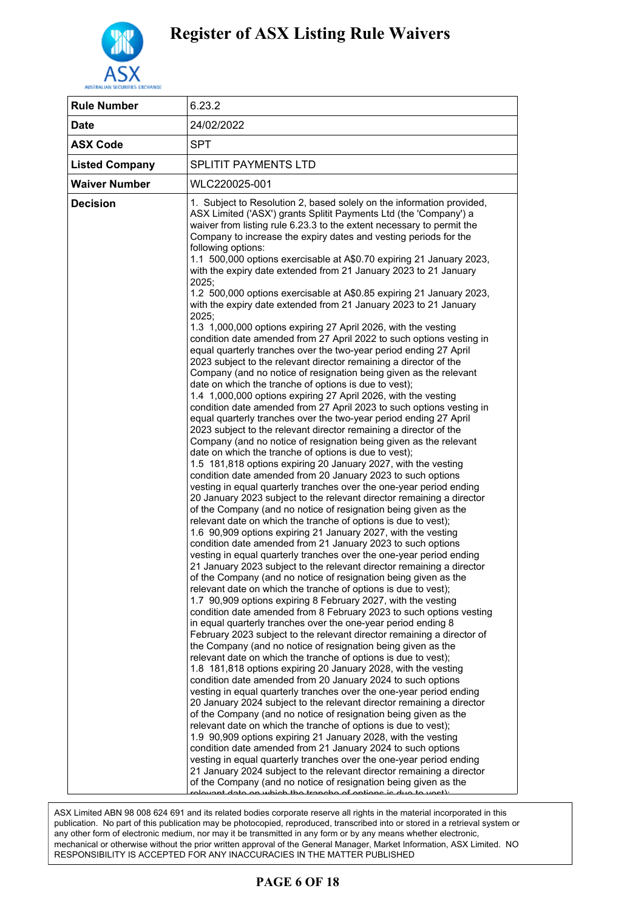

| <b>Rule Number</b>    | 6.23.2                                                                                                                                                                                                                                                                                                                                                                                                                                                                                                                                                                                                                                                                                                                                                                                                                                                                                                                                                                                                                                                                                                                                                                                                                                                                                                                                                                                                                                                                                                                                                                                                                                                                                                                                                                                                                                                                                                                                                                                                                                                                                                                                                                                                                                                                                                                                                                                                                                                                                                                                                                                                                                                                                                                                                                                                                                                                                                                                                                                                                                                                                                                                                                                                                                                                                                                                                                                                                                                                                                                                                                |
|-----------------------|-----------------------------------------------------------------------------------------------------------------------------------------------------------------------------------------------------------------------------------------------------------------------------------------------------------------------------------------------------------------------------------------------------------------------------------------------------------------------------------------------------------------------------------------------------------------------------------------------------------------------------------------------------------------------------------------------------------------------------------------------------------------------------------------------------------------------------------------------------------------------------------------------------------------------------------------------------------------------------------------------------------------------------------------------------------------------------------------------------------------------------------------------------------------------------------------------------------------------------------------------------------------------------------------------------------------------------------------------------------------------------------------------------------------------------------------------------------------------------------------------------------------------------------------------------------------------------------------------------------------------------------------------------------------------------------------------------------------------------------------------------------------------------------------------------------------------------------------------------------------------------------------------------------------------------------------------------------------------------------------------------------------------------------------------------------------------------------------------------------------------------------------------------------------------------------------------------------------------------------------------------------------------------------------------------------------------------------------------------------------------------------------------------------------------------------------------------------------------------------------------------------------------------------------------------------------------------------------------------------------------------------------------------------------------------------------------------------------------------------------------------------------------------------------------------------------------------------------------------------------------------------------------------------------------------------------------------------------------------------------------------------------------------------------------------------------------------------------------------------------------------------------------------------------------------------------------------------------------------------------------------------------------------------------------------------------------------------------------------------------------------------------------------------------------------------------------------------------------------------------------------------------------------------------------------------------------|
| <b>Date</b>           | 24/02/2022                                                                                                                                                                                                                                                                                                                                                                                                                                                                                                                                                                                                                                                                                                                                                                                                                                                                                                                                                                                                                                                                                                                                                                                                                                                                                                                                                                                                                                                                                                                                                                                                                                                                                                                                                                                                                                                                                                                                                                                                                                                                                                                                                                                                                                                                                                                                                                                                                                                                                                                                                                                                                                                                                                                                                                                                                                                                                                                                                                                                                                                                                                                                                                                                                                                                                                                                                                                                                                                                                                                                                            |
| <b>ASX Code</b>       | <b>SPT</b>                                                                                                                                                                                                                                                                                                                                                                                                                                                                                                                                                                                                                                                                                                                                                                                                                                                                                                                                                                                                                                                                                                                                                                                                                                                                                                                                                                                                                                                                                                                                                                                                                                                                                                                                                                                                                                                                                                                                                                                                                                                                                                                                                                                                                                                                                                                                                                                                                                                                                                                                                                                                                                                                                                                                                                                                                                                                                                                                                                                                                                                                                                                                                                                                                                                                                                                                                                                                                                                                                                                                                            |
| <b>Listed Company</b> | SPLITIT PAYMENTS LTD                                                                                                                                                                                                                                                                                                                                                                                                                                                                                                                                                                                                                                                                                                                                                                                                                                                                                                                                                                                                                                                                                                                                                                                                                                                                                                                                                                                                                                                                                                                                                                                                                                                                                                                                                                                                                                                                                                                                                                                                                                                                                                                                                                                                                                                                                                                                                                                                                                                                                                                                                                                                                                                                                                                                                                                                                                                                                                                                                                                                                                                                                                                                                                                                                                                                                                                                                                                                                                                                                                                                                  |
| <b>Waiver Number</b>  | WLC220025-001                                                                                                                                                                                                                                                                                                                                                                                                                                                                                                                                                                                                                                                                                                                                                                                                                                                                                                                                                                                                                                                                                                                                                                                                                                                                                                                                                                                                                                                                                                                                                                                                                                                                                                                                                                                                                                                                                                                                                                                                                                                                                                                                                                                                                                                                                                                                                                                                                                                                                                                                                                                                                                                                                                                                                                                                                                                                                                                                                                                                                                                                                                                                                                                                                                                                                                                                                                                                                                                                                                                                                         |
| <b>Decision</b>       | 1. Subject to Resolution 2, based solely on the information provided,<br>ASX Limited ('ASX') grants Splitit Payments Ltd (the 'Company') a<br>waiver from listing rule 6.23.3 to the extent necessary to permit the<br>Company to increase the expiry dates and vesting periods for the<br>following options:<br>1.1 500,000 options exercisable at A\$0.70 expiring 21 January 2023,<br>with the expiry date extended from 21 January 2023 to 21 January<br>2025;<br>1.2 500,000 options exercisable at A\$0.85 expiring 21 January 2023,<br>with the expiry date extended from 21 January 2023 to 21 January<br>2025:<br>1.3 1,000,000 options expiring 27 April 2026, with the vesting<br>condition date amended from 27 April 2022 to such options vesting in<br>equal quarterly tranches over the two-year period ending 27 April<br>2023 subject to the relevant director remaining a director of the<br>Company (and no notice of resignation being given as the relevant<br>date on which the tranche of options is due to vest);<br>1.4 1,000,000 options expiring 27 April 2026, with the vesting<br>condition date amended from 27 April 2023 to such options vesting in<br>equal quarterly tranches over the two-year period ending 27 April<br>2023 subject to the relevant director remaining a director of the<br>Company (and no notice of resignation being given as the relevant<br>date on which the tranche of options is due to vest);<br>1.5 181,818 options expiring 20 January 2027, with the vesting<br>condition date amended from 20 January 2023 to such options<br>vesting in equal quarterly tranches over the one-year period ending<br>20 January 2023 subject to the relevant director remaining a director<br>of the Company (and no notice of resignation being given as the<br>relevant date on which the tranche of options is due to vest);<br>1.6 90,909 options expiring 21 January 2027, with the vesting<br>condition date amended from 21 January 2023 to such options<br>vesting in equal quarterly tranches over the one-year period ending<br>21 January 2023 subject to the relevant director remaining a director<br>of the Company (and no notice of resignation being given as the<br>relevant date on which the tranche of options is due to vest);<br>1.7 90,909 options expiring 8 February 2027, with the vesting<br>condition date amended from 8 February 2023 to such options vesting<br>in equal quarterly tranches over the one-year period ending 8<br>February 2023 subject to the relevant director remaining a director of<br>the Company (and no notice of resignation being given as the<br>relevant date on which the tranche of options is due to vest);<br>1.8 181,818 options expiring 20 January 2028, with the vesting<br>condition date amended from 20 January 2024 to such options<br>vesting in equal quarterly tranches over the one-year period ending<br>20 January 2024 subject to the relevant director remaining a director<br>of the Company (and no notice of resignation being given as the<br>relevant date on which the tranche of options is due to vest);<br>1.9 90,909 options expiring 21 January 2028, with the vesting<br>condition date amended from 21 January 2024 to such options<br>vesting in equal quarterly tranches over the one-year period ending<br>21 January 2024 subject to the relevant director remaining a director<br>of the Company (and no notice of resignation being given as the<br>rolovant data an which the transhe of antions is due to vest) |

.<br>ASX Limited ABN 98 008 624 691 and its related bodies corporate reserve all rights in the material incorporated in this ASA Limited ABN 96 000 024 091 and its related bodies corporate reserve all rights in the material incorporated in this<br>publication. No part of this publication may be photocopied, reproduced, transcribed into or stored in publication. The part of this publication may be photocopied, reproduced, transcribed filte or stored in a retrieval<br>any other form of electronic medium, nor may it be transmitted in any form or by any means whether electr any other form or electronic mediam, her may it be danomited in any form or by any means whether electronic,  $\frac{1}{2}$  means of the chanical or otherwise without the prior written approval of the General Manager, Market In Prior ministrapprovar of and domena manager, manner microaderity resident<br>FOR ANY INACCLIRACIES IN THE MATTER PLIBLISHED date on which the tranche of options is due to vest); RESPONSIBILITY IS ACCEPTED FOR ANY INACCURACIES IN THE MATTER PUBLISHED

#### $1.97 f 974$ **PAGE 6 OF 18**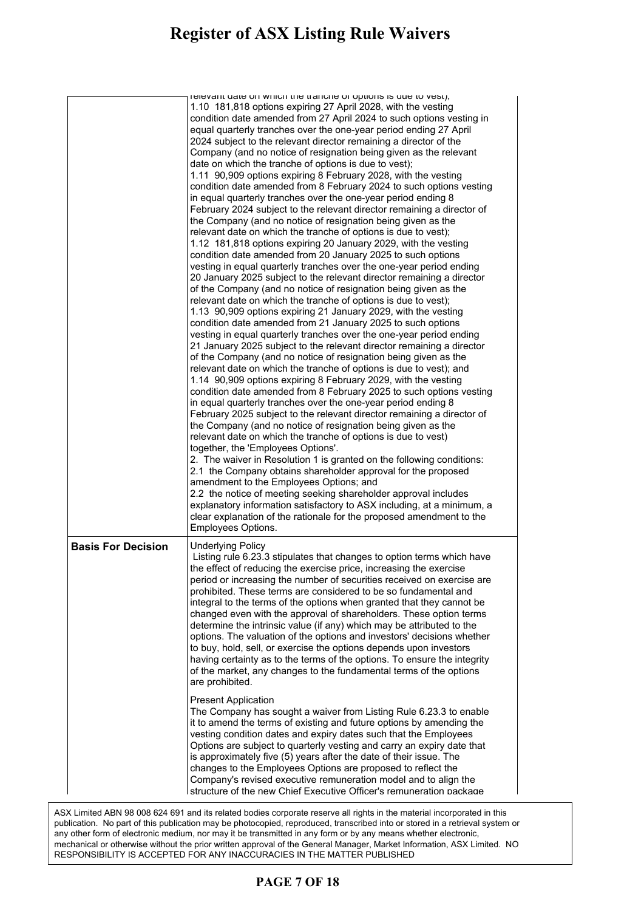#### **Register of ASX Listing Rule Waivers** 1.9 90,909 options expiring 21 January 2028, with the vesting

|                           | relevant date on which the tranche or options is due to vest),                                                                         |
|---------------------------|----------------------------------------------------------------------------------------------------------------------------------------|
|                           | 1.10 181,818 options expiring 27 April 2028, with the vesting                                                                          |
|                           | condition date amended from 27 April 2024 to such options vesting in                                                                   |
|                           | equal quarterly tranches over the one-year period ending 27 April<br>2024 subject to the relevant director remaining a director of the |
|                           | Company (and no notice of resignation being given as the relevant                                                                      |
|                           | date on which the tranche of options is due to vest);                                                                                  |
|                           | 1.11 90,909 options expiring 8 February 2028, with the vesting                                                                         |
|                           | condition date amended from 8 February 2024 to such options vesting                                                                    |
|                           | in equal quarterly tranches over the one-year period ending 8                                                                          |
|                           | February 2024 subject to the relevant director remaining a director of                                                                 |
|                           | the Company (and no notice of resignation being given as the                                                                           |
|                           | relevant date on which the tranche of options is due to vest);                                                                         |
|                           | 1.12 181,818 options expiring 20 January 2029, with the vesting                                                                        |
|                           | condition date amended from 20 January 2025 to such options                                                                            |
|                           | vesting in equal quarterly tranches over the one-year period ending                                                                    |
|                           | 20 January 2025 subject to the relevant director remaining a director                                                                  |
|                           | of the Company (and no notice of resignation being given as the                                                                        |
|                           | relevant date on which the tranche of options is due to vest);                                                                         |
|                           | 1.13 90,909 options expiring 21 January 2029, with the vesting                                                                         |
|                           | condition date amended from 21 January 2025 to such options                                                                            |
|                           | vesting in equal quarterly tranches over the one-year period ending                                                                    |
|                           | 21 January 2025 subject to the relevant director remaining a director                                                                  |
|                           | of the Company (and no notice of resignation being given as the                                                                        |
|                           | relevant date on which the tranche of options is due to vest); and                                                                     |
|                           | 1.14 90,909 options expiring 8 February 2029, with the vesting                                                                         |
|                           | condition date amended from 8 February 2025 to such options vesting                                                                    |
|                           | in equal quarterly tranches over the one-year period ending 8                                                                          |
|                           | February 2025 subject to the relevant director remaining a director of                                                                 |
|                           | the Company (and no notice of resignation being given as the                                                                           |
|                           | relevant date on which the tranche of options is due to vest)                                                                          |
|                           | together, the 'Employees Options'.                                                                                                     |
|                           | 2. The waiver in Resolution 1 is granted on the following conditions:<br>2.1 the Company obtains shareholder approval for the proposed |
|                           | amendment to the Employees Options; and                                                                                                |
|                           | 2.2 the notice of meeting seeking shareholder approval includes                                                                        |
|                           | explanatory information satisfactory to ASX including, at a minimum, a                                                                 |
|                           | clear explanation of the rationale for the proposed amendment to the                                                                   |
|                           | Employees Options.                                                                                                                     |
|                           |                                                                                                                                        |
| <b>Basis For Decision</b> |                                                                                                                                        |
|                           | <b>Underlying Policy</b>                                                                                                               |
|                           | Listing rule 6.23.3 stipulates that changes to option terms which have                                                                 |
|                           | the effect of reducing the exercise price, increasing the exercise                                                                     |
|                           | period or increasing the number of securities received on exercise are                                                                 |
|                           | prohibited. These terms are considered to be so fundamental and                                                                        |
|                           | integral to the terms of the options when granted that they cannot be                                                                  |
|                           | changed even with the approval of shareholders. These option terms                                                                     |
|                           | determine the intrinsic value (if any) which may be attributed to the                                                                  |
|                           | options. The valuation of the options and investors' decisions whether                                                                 |
|                           | to buy, hold, sell, or exercise the options depends upon investors                                                                     |
|                           | having certainty as to the terms of the options. To ensure the integrity                                                               |
|                           | of the market, any changes to the fundamental terms of the options                                                                     |
|                           | are prohibited.                                                                                                                        |
|                           | <b>Present Application</b>                                                                                                             |
|                           | The Company has sought a waiver from Listing Rule 6.23.3 to enable                                                                     |
|                           | it to amend the terms of existing and future options by amending the                                                                   |
|                           | vesting condition dates and expiry dates such that the Employees                                                                       |
|                           | Options are subject to quarterly vesting and carry an expiry date that                                                                 |
|                           | is approximately five (5) years after the date of their issue. The                                                                     |
|                           | changes to the Employees Options are proposed to reflect the                                                                           |
|                           | Company's revised executive remuneration model and to align the<br>structure of the new Chief Executive Officer's remuneration package |

ASX Limited ABN 98 008 624 691 and its related bodies corporate reserve all rights in the material incorporated in this<br> publication. No part of this publication may be photocopied, reproduced, transcribed into or stored in a retrieval system or any other form of electronic medium, nor may it be transmitted in any form or by any means whether electronic,<br>Any other form of electronic mechanical or otherwise without the prior written approval of the General Manager, Market Information, ASX Limited. NO<br>RESPONDIBUTEV IS ACCEPTED FOR ANY INACCURACIES IN THE MATTER RUBLIOUED. RESPONSIBILITY IS ACCEPTED FOR ANY INACCURACIES IN THE MATTER PUBLISHED

### 0.88% of the number of fully paid ordinary shares on issue. All other **PAGE 7 OF 18**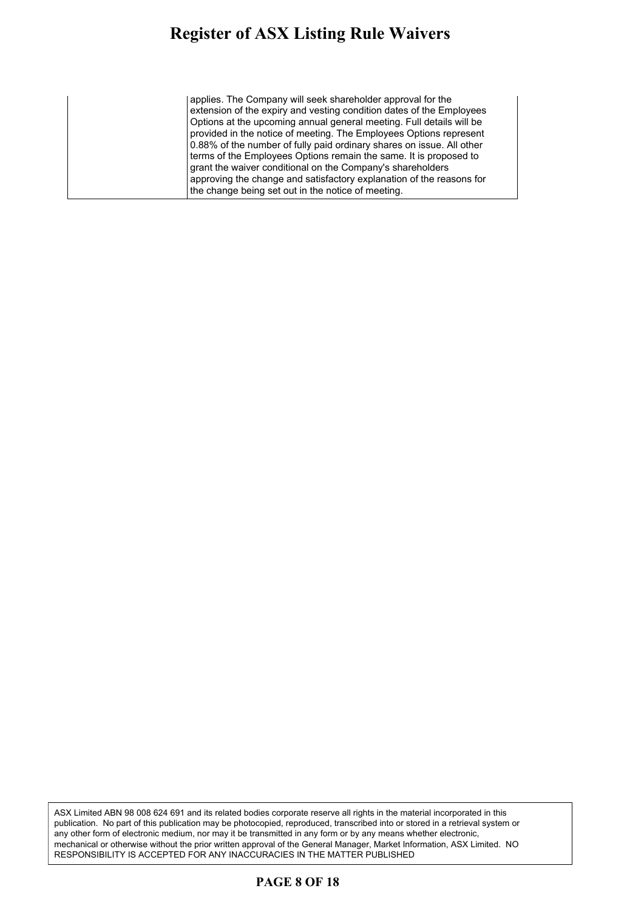#### **Register of ASX Listing Rule Waivers** gister of ASX Listing Rule Waivers .  $\mathbf{e}$  revised executive remuneration model and to align the model and to align the model and to align the model and to align the model and to all  $\mathbf{e}$

applies. The Company will seek shareholder approval for the extension of the expiry and vesting condition dates of the Employees Options at the upcoming annual general meeting. Full details will be provided in the notice of meeting. The Employees Options represent 0.88% of the number of fully paid ordinary shares on issue. All other terms of the Employees Options remain the same. It is proposed to grant the waiver conditional on the Company's shareholders approving the change and satisfactory explanation of the reasons for the change being set out in the notice of meeting.

ASX Limited ABN 98 008 624 691 and its related bodies corporate reserve all rights in the material incorporated in this publication. No part of this publication may be photocopied, reproduced, transcribed into or stored in a retrieval system or any other form of electronic medium, nor may it be transmitted in any form or by any means whether electronic, mechanical or otherwise without the prior written approval of the General Manager, Market Information, ASX Limited. NO RESPONSIBILITY IS ACCEPTED FOR ANY INACCURACIES IN THE MATTER PUBLISHED

#### **PAGE 8 OF 18**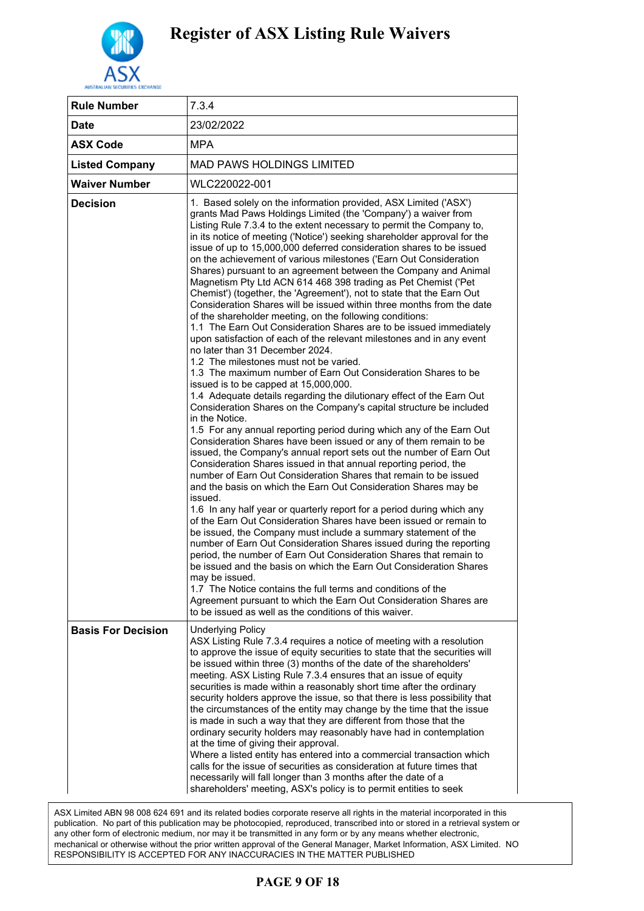

| <b>Rule Number</b>        | 7.3.4                                                                                                                                                                                                                                                                                                                                                                                                                                                                                                                                                                                                                                                                                                                                                                                                                                                                                                                                                                                                                                                                                                                                                                                                                                                                                                                                                                                                                                                                                                                                                                                                                                                                                                                                                                                                                                                                                                                                                                                                                                                                                                                                                                                                                                                                                                                                                                                          |
|---------------------------|------------------------------------------------------------------------------------------------------------------------------------------------------------------------------------------------------------------------------------------------------------------------------------------------------------------------------------------------------------------------------------------------------------------------------------------------------------------------------------------------------------------------------------------------------------------------------------------------------------------------------------------------------------------------------------------------------------------------------------------------------------------------------------------------------------------------------------------------------------------------------------------------------------------------------------------------------------------------------------------------------------------------------------------------------------------------------------------------------------------------------------------------------------------------------------------------------------------------------------------------------------------------------------------------------------------------------------------------------------------------------------------------------------------------------------------------------------------------------------------------------------------------------------------------------------------------------------------------------------------------------------------------------------------------------------------------------------------------------------------------------------------------------------------------------------------------------------------------------------------------------------------------------------------------------------------------------------------------------------------------------------------------------------------------------------------------------------------------------------------------------------------------------------------------------------------------------------------------------------------------------------------------------------------------------------------------------------------------------------------------------------------------|
| <b>Date</b>               | 23/02/2022                                                                                                                                                                                                                                                                                                                                                                                                                                                                                                                                                                                                                                                                                                                                                                                                                                                                                                                                                                                                                                                                                                                                                                                                                                                                                                                                                                                                                                                                                                                                                                                                                                                                                                                                                                                                                                                                                                                                                                                                                                                                                                                                                                                                                                                                                                                                                                                     |
| <b>ASX Code</b>           | <b>MPA</b>                                                                                                                                                                                                                                                                                                                                                                                                                                                                                                                                                                                                                                                                                                                                                                                                                                                                                                                                                                                                                                                                                                                                                                                                                                                                                                                                                                                                                                                                                                                                                                                                                                                                                                                                                                                                                                                                                                                                                                                                                                                                                                                                                                                                                                                                                                                                                                                     |
| <b>Listed Company</b>     | <b>MAD PAWS HOLDINGS LIMITED</b>                                                                                                                                                                                                                                                                                                                                                                                                                                                                                                                                                                                                                                                                                                                                                                                                                                                                                                                                                                                                                                                                                                                                                                                                                                                                                                                                                                                                                                                                                                                                                                                                                                                                                                                                                                                                                                                                                                                                                                                                                                                                                                                                                                                                                                                                                                                                                               |
| <b>Waiver Number</b>      | WLC220022-001                                                                                                                                                                                                                                                                                                                                                                                                                                                                                                                                                                                                                                                                                                                                                                                                                                                                                                                                                                                                                                                                                                                                                                                                                                                                                                                                                                                                                                                                                                                                                                                                                                                                                                                                                                                                                                                                                                                                                                                                                                                                                                                                                                                                                                                                                                                                                                                  |
| <b>Decision</b>           | 1. Based solely on the information provided, ASX Limited ('ASX')<br>grants Mad Paws Holdings Limited (the 'Company') a waiver from<br>Listing Rule 7.3.4 to the extent necessary to permit the Company to,<br>in its notice of meeting ('Notice') seeking shareholder approval for the<br>issue of up to 15,000,000 deferred consideration shares to be issued<br>on the achievement of various milestones ('Earn Out Consideration<br>Shares) pursuant to an agreement between the Company and Animal<br>Magnetism Pty Ltd ACN 614 468 398 trading as Pet Chemist ('Pet<br>Chemist') (together, the 'Agreement'), not to state that the Earn Out<br>Consideration Shares will be issued within three months from the date<br>of the shareholder meeting, on the following conditions:<br>1.1 The Earn Out Consideration Shares are to be issued immediately<br>upon satisfaction of each of the relevant milestones and in any event<br>no later than 31 December 2024.<br>1.2 The milestones must not be varied.<br>1.3 The maximum number of Earn Out Consideration Shares to be<br>issued is to be capped at 15,000,000.<br>1.4 Adequate details regarding the dilutionary effect of the Earn Out<br>Consideration Shares on the Company's capital structure be included<br>in the Notice.<br>1.5 For any annual reporting period during which any of the Earn Out<br>Consideration Shares have been issued or any of them remain to be<br>issued, the Company's annual report sets out the number of Earn Out<br>Consideration Shares issued in that annual reporting period, the<br>number of Earn Out Consideration Shares that remain to be issued<br>and the basis on which the Earn Out Consideration Shares may be<br>issued.<br>1.6 In any half year or quarterly report for a period during which any<br>of the Earn Out Consideration Shares have been issued or remain to<br>be issued, the Company must include a summary statement of the<br>number of Earn Out Consideration Shares issued during the reporting<br>period, the number of Earn Out Consideration Shares that remain to<br>be issued and the basis on which the Earn Out Consideration Shares<br>may be issued.<br>1.7 The Notice contains the full terms and conditions of the<br>Agreement pursuant to which the Earn Out Consideration Shares are<br>to be issued as well as the conditions of this waiver. |
| <b>Basis For Decision</b> | <b>Underlying Policy</b><br>ASX Listing Rule 7.3.4 requires a notice of meeting with a resolution<br>to approve the issue of equity securities to state that the securities will<br>be issued within three (3) months of the date of the shareholders'<br>meeting. ASX Listing Rule 7.3.4 ensures that an issue of equity<br>securities is made within a reasonably short time after the ordinary<br>security holders approve the issue, so that there is less possibility that<br>the circumstances of the entity may change by the time that the issue<br>is made in such a way that they are different from those that the<br>ordinary security holders may reasonably have had in contemplation<br>at the time of giving their approval.<br>Where a listed entity has entered into a commercial transaction which<br>calls for the issue of securities as consideration at future times that<br>necessarily will fall longer than 3 months after the date of a<br>shareholders' meeting, ASX's policy is to permit entities to seek                                                                                                                                                                                                                                                                                                                                                                                                                                                                                                                                                                                                                                                                                                                                                                                                                                                                                                                                                                                                                                                                                                                                                                                                                                                                                                                                                        |

ASX Limited ABN 98 008 624 691 and its related bodies corporate reserve all rights in the material incorporated in this publication. No part of this publication may be photocopied, reproduced, transcribed into or stored in a retrieval system or any other form of electronic medium, nor may it be transmitted in any form or by any means whether electronic, mechanical or otherwise without the prior written approval of the General Manager, Market Information, ASX Limited. NO RESPONSIBILITY IS ACCEPTED FOR ANY INACCURACIES IN THE MATTER PUBLISHED

### **PAGE 9 OF 18**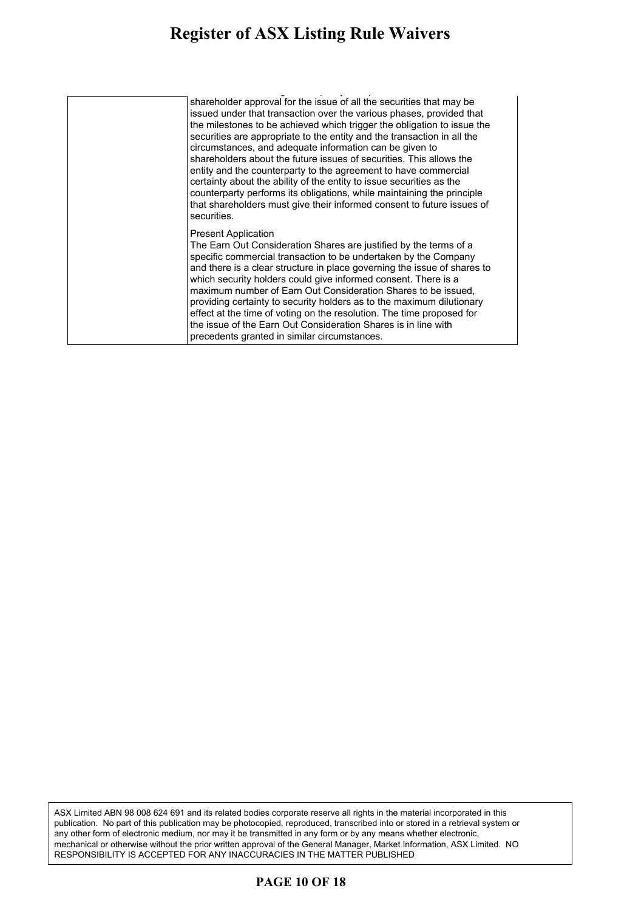#### **Register of ASX Listing Rule Waivers** gister of ASA Listing Kule Waivers  $\sim$  the time of giving the time of  $\sim$

| shareholder approval for the issue of all the securities that may be<br>issued under that transaction over the various phases, provided that<br>the milestones to be achieved which trigger the obligation to issue the<br>securities are appropriate to the entity and the transaction in all the<br>circumstances, and adequate information can be given to<br>shareholders about the future issues of securities. This allows the<br>entity and the counterparty to the agreement to have commercial<br>certainty about the ability of the entity to issue securities as the<br>counterparty performs its obligations, while maintaining the principle<br>that shareholders must give their informed consent to future issues of<br>securities. |
|----------------------------------------------------------------------------------------------------------------------------------------------------------------------------------------------------------------------------------------------------------------------------------------------------------------------------------------------------------------------------------------------------------------------------------------------------------------------------------------------------------------------------------------------------------------------------------------------------------------------------------------------------------------------------------------------------------------------------------------------------|
| <b>Present Application</b><br>The Earn Out Consideration Shares are justified by the terms of a<br>specific commercial transaction to be undertaken by the Company<br>and there is a clear structure in place governing the issue of shares to<br>which security holders could give informed consent. There is a<br>maximum number of Earn Out Consideration Shares to be issued,<br>providing certainty to security holders as to the maximum dilutionary<br>effect at the time of voting on the resolution. The time proposed for<br>the issue of the Earn Out Consideration Shares is in line with<br>precedents granted in similar circumstances.                                                                                              |

ASX Limited ABN 98 008 624 691 and its related bodies corporate reserve all rights in the material incorporated in this publication. No part of this publication may be photocopied, reproduced, transcribed into or stored in a retrieval system or any other form of electronic medium, nor may it be transmitted in any form or by any means whether electronic, mechanical or otherwise without the prior written approval of the General Manager, Market Information, ASX Limited. NO RESPONSIBILITY IS ACCEPTED FOR ANY INACCURACIES IN THE MATTER PUBLISHED

#### **PAGE 10 OF 18**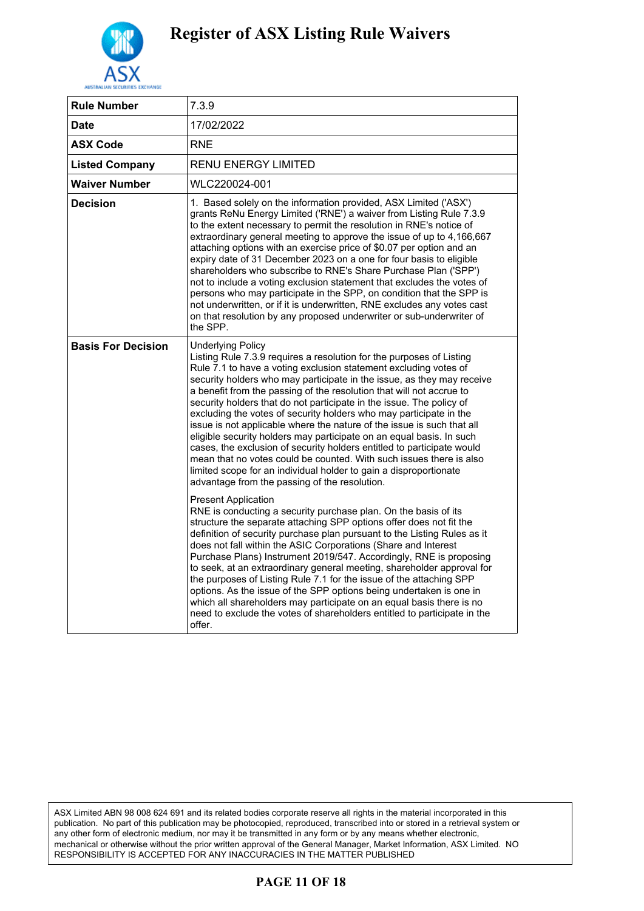

| <b>Rule Number</b>        | 7.3.9                                                                                                                                                                                                                                                                                                                                                                                                                                                                                                                                                                                                                                                                                                                                                                                                                                                                                         |
|---------------------------|-----------------------------------------------------------------------------------------------------------------------------------------------------------------------------------------------------------------------------------------------------------------------------------------------------------------------------------------------------------------------------------------------------------------------------------------------------------------------------------------------------------------------------------------------------------------------------------------------------------------------------------------------------------------------------------------------------------------------------------------------------------------------------------------------------------------------------------------------------------------------------------------------|
| Date                      | 17/02/2022                                                                                                                                                                                                                                                                                                                                                                                                                                                                                                                                                                                                                                                                                                                                                                                                                                                                                    |
| <b>ASX Code</b>           | <b>RNE</b>                                                                                                                                                                                                                                                                                                                                                                                                                                                                                                                                                                                                                                                                                                                                                                                                                                                                                    |
| <b>Listed Company</b>     | <b>RENU ENERGY LIMITED</b>                                                                                                                                                                                                                                                                                                                                                                                                                                                                                                                                                                                                                                                                                                                                                                                                                                                                    |
| Waiver Number             | WLC220024-001                                                                                                                                                                                                                                                                                                                                                                                                                                                                                                                                                                                                                                                                                                                                                                                                                                                                                 |
| Decision                  | 1. Based solely on the information provided, ASX Limited ('ASX')<br>grants ReNu Energy Limited ('RNE') a waiver from Listing Rule 7.3.9<br>to the extent necessary to permit the resolution in RNE's notice of<br>extraordinary general meeting to approve the issue of up to 4,166,667<br>attaching options with an exercise price of \$0.07 per option and an<br>expiry date of 31 December 2023 on a one for four basis to eligible<br>shareholders who subscribe to RNE's Share Purchase Plan ('SPP')<br>not to include a voting exclusion statement that excludes the votes of<br>persons who may participate in the SPP, on condition that the SPP is<br>not underwritten, or if it is underwritten, RNE excludes any votes cast<br>on that resolution by any proposed underwriter or sub-underwriter of<br>the SPP.                                                                    |
| <b>Basis For Decision</b> | <b>Underlying Policy</b><br>Listing Rule 7.3.9 requires a resolution for the purposes of Listing<br>Rule 7.1 to have a voting exclusion statement excluding votes of<br>security holders who may participate in the issue, as they may receive<br>a benefit from the passing of the resolution that will not accrue to<br>security holders that do not participate in the issue. The policy of<br>excluding the votes of security holders who may participate in the<br>issue is not applicable where the nature of the issue is such that all<br>eligible security holders may participate on an equal basis. In such<br>cases, the exclusion of security holders entitled to participate would<br>mean that no votes could be counted. With such issues there is also<br>limited scope for an individual holder to gain a disproportionate<br>advantage from the passing of the resolution. |
|                           | <b>Present Application</b><br>RNE is conducting a security purchase plan. On the basis of its<br>structure the separate attaching SPP options offer does not fit the<br>definition of security purchase plan pursuant to the Listing Rules as it<br>does not fall within the ASIC Corporations (Share and Interest<br>Purchase Plans) Instrument 2019/547. Accordingly, RNE is proposing<br>to seek, at an extraordinary general meeting, shareholder approval for<br>the purposes of Listing Rule 7.1 for the issue of the attaching SPP<br>options. As the issue of the SPP options being undertaken is one in<br>which all shareholders may participate on an equal basis there is no<br>need to exclude the votes of shareholders entitled to participate in the<br>offer.                                                                                                                |

ASX Limited ABN 98 008 624 691 and its related bodies corporate reserve all rights in the material incorporated in this publication. No part of this publication may be photocopied, reproduced, transcribed into or stored in a retrieval system or any other form of electronic medium, nor may it be transmitted in any form or by any means whether electronic, mechanical or otherwise without the prior written approval of the General Manager, Market Information, ASX Limited. NO RESPONSIBILITY IS ACCEPTED FOR ANY INACCURACIES IN THE MATTER PUBLISHED

### **PAGE 11 OF 18**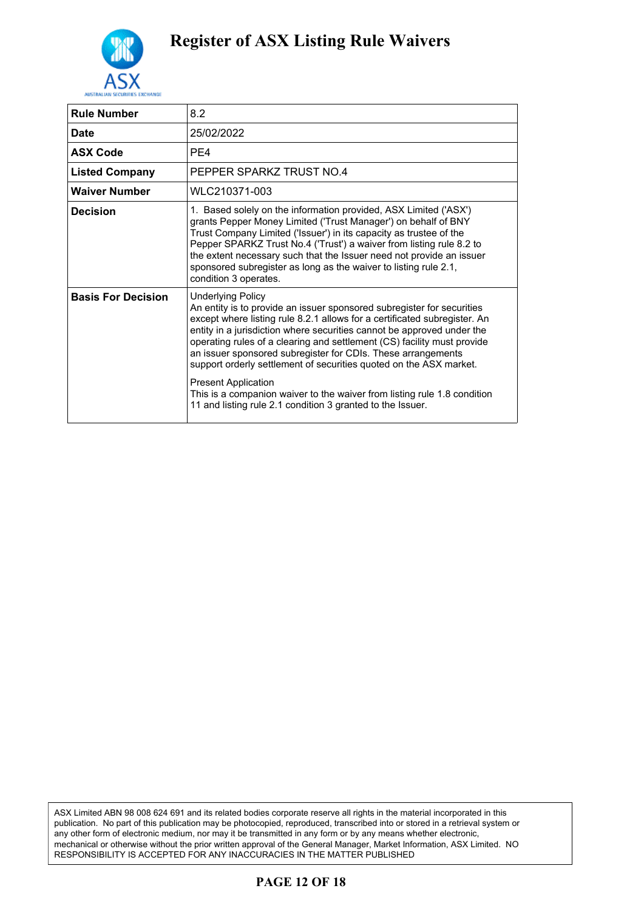

| <b>Rule Number</b>        | 8.2                                                                                                                                                                                                                                                                                                                                                                                                                                                                                                                                                                                                                                                |
|---------------------------|----------------------------------------------------------------------------------------------------------------------------------------------------------------------------------------------------------------------------------------------------------------------------------------------------------------------------------------------------------------------------------------------------------------------------------------------------------------------------------------------------------------------------------------------------------------------------------------------------------------------------------------------------|
| <b>Date</b>               | 25/02/2022                                                                                                                                                                                                                                                                                                                                                                                                                                                                                                                                                                                                                                         |
| <b>ASX Code</b>           | PF4                                                                                                                                                                                                                                                                                                                                                                                                                                                                                                                                                                                                                                                |
| <b>Listed Company</b>     | PEPPER SPARKZ TRUST NO.4                                                                                                                                                                                                                                                                                                                                                                                                                                                                                                                                                                                                                           |
| <b>Waiver Number</b>      | WLC210371-003                                                                                                                                                                                                                                                                                                                                                                                                                                                                                                                                                                                                                                      |
| Decision                  | 1. Based solely on the information provided, ASX Limited ('ASX')<br>grants Pepper Money Limited ('Trust Manager') on behalf of BNY<br>Trust Company Limited ('Issuer') in its capacity as trustee of the<br>Pepper SPARKZ Trust No.4 ('Trust') a waiver from listing rule 8.2 to<br>the extent necessary such that the Issuer need not provide an issuer<br>sponsored subregister as long as the waiver to listing rule 2.1,<br>condition 3 operates.                                                                                                                                                                                              |
| <b>Basis For Decision</b> | <b>Underlying Policy</b><br>An entity is to provide an issuer sponsored subregister for securities<br>except where listing rule 8.2.1 allows for a certificated subregister. An<br>entity in a jurisdiction where securities cannot be approved under the<br>operating rules of a clearing and settlement (CS) facility must provide<br>an issuer sponsored subregister for CDIs. These arrangements<br>support orderly settlement of securities quoted on the ASX market.<br><b>Present Application</b><br>This is a companion waiver to the waiver from listing rule 1.8 condition<br>11 and listing rule 2.1 condition 3 granted to the Issuer. |

ASX Limited ABN 98 008 624 691 and its related bodies corporate reserve all rights in the material incorporated in this publication. No part of this publication may be photocopied, reproduced, transcribed into or stored in a retrieval system or any other form of electronic medium, nor may it be transmitted in any form or by any means whether electronic, mechanical or otherwise without the prior written approval of the General Manager, Market Information, ASX Limited. NO RESPONSIBILITY IS ACCEPTED FOR ANY INACCURACIES IN THE MATTER PUBLISHED

### **PAGE 12 OF 18**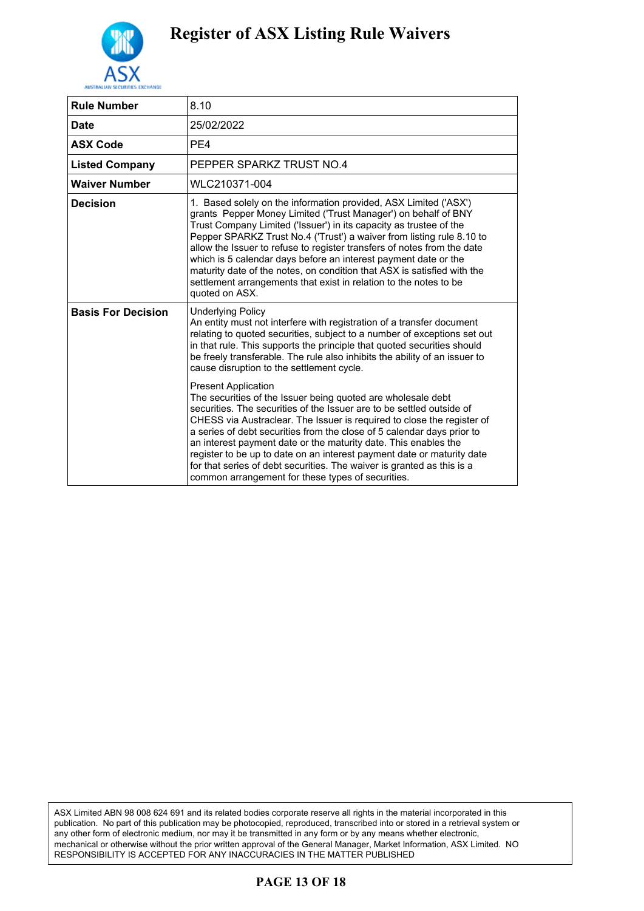

| <b>Rule Number</b>        | 8.10                                                                                                                                                                                                                                                                                                                                                                                                                                                                                                                                                                                                |
|---------------------------|-----------------------------------------------------------------------------------------------------------------------------------------------------------------------------------------------------------------------------------------------------------------------------------------------------------------------------------------------------------------------------------------------------------------------------------------------------------------------------------------------------------------------------------------------------------------------------------------------------|
| <b>Date</b>               | 25/02/2022                                                                                                                                                                                                                                                                                                                                                                                                                                                                                                                                                                                          |
| <b>ASX Code</b>           | PE4                                                                                                                                                                                                                                                                                                                                                                                                                                                                                                                                                                                                 |
| <b>Listed Company</b>     | PEPPER SPARKZ TRUST NO.4                                                                                                                                                                                                                                                                                                                                                                                                                                                                                                                                                                            |
| <b>Waiver Number</b>      | WLC210371-004                                                                                                                                                                                                                                                                                                                                                                                                                                                                                                                                                                                       |
| <b>Decision</b>           | 1. Based solely on the information provided, ASX Limited ('ASX')<br>grants Pepper Money Limited ('Trust Manager') on behalf of BNY<br>Trust Company Limited ('Issuer') in its capacity as trustee of the<br>Pepper SPARKZ Trust No.4 ('Trust') a waiver from listing rule 8.10 to<br>allow the Issuer to refuse to register transfers of notes from the date<br>which is 5 calendar days before an interest payment date or the<br>maturity date of the notes, on condition that ASX is satisfied with the<br>settlement arrangements that exist in relation to the notes to be<br>quoted on ASX.   |
| <b>Basis For Decision</b> | <b>Underlying Policy</b><br>An entity must not interfere with registration of a transfer document<br>relating to quoted securities, subject to a number of exceptions set out<br>in that rule. This supports the principle that quoted securities should<br>be freely transferable. The rule also inhibits the ability of an issuer to<br>cause disruption to the settlement cycle.                                                                                                                                                                                                                 |
|                           | <b>Present Application</b><br>The securities of the Issuer being quoted are wholesale debt<br>securities. The securities of the Issuer are to be settled outside of<br>CHESS via Austraclear. The Issuer is required to close the register of<br>a series of debt securities from the close of 5 calendar days prior to<br>an interest payment date or the maturity date. This enables the<br>register to be up to date on an interest payment date or maturity date<br>for that series of debt securities. The waiver is granted as this is a<br>common arrangement for these types of securities. |

ASX Limited ABN 98 008 624 691 and its related bodies corporate reserve all rights in the material incorporated in this publication. No part of this publication may be photocopied, reproduced, transcribed into or stored in a retrieval system or any other form of electronic medium, nor may it be transmitted in any form or by any means whether electronic, mechanical or otherwise without the prior written approval of the General Manager, Market Information, ASX Limited. NO RESPONSIBILITY IS ACCEPTED FOR ANY INACCURACIES IN THE MATTER PUBLISHED

### **PAGE 13 OF 18**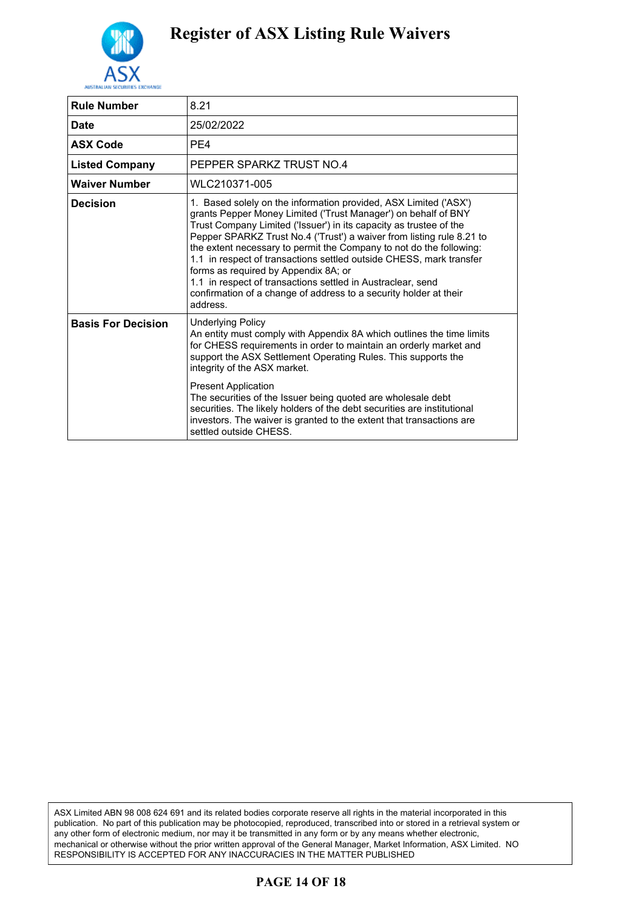

| <b>Rule Number</b>        | 8.21                                                                                                                                                                                                                                                                                                                                                                                                                                                                                                                                                                                                                    |
|---------------------------|-------------------------------------------------------------------------------------------------------------------------------------------------------------------------------------------------------------------------------------------------------------------------------------------------------------------------------------------------------------------------------------------------------------------------------------------------------------------------------------------------------------------------------------------------------------------------------------------------------------------------|
| <b>Date</b>               | 25/02/2022                                                                                                                                                                                                                                                                                                                                                                                                                                                                                                                                                                                                              |
| <b>ASX Code</b>           | PE4                                                                                                                                                                                                                                                                                                                                                                                                                                                                                                                                                                                                                     |
| <b>Listed Company</b>     | PEPPER SPARKZ TRUST NO.4                                                                                                                                                                                                                                                                                                                                                                                                                                                                                                                                                                                                |
| <b>Waiver Number</b>      | WLC210371-005                                                                                                                                                                                                                                                                                                                                                                                                                                                                                                                                                                                                           |
| <b>Decision</b>           | 1. Based solely on the information provided, ASX Limited ('ASX')<br>grants Pepper Money Limited ('Trust Manager') on behalf of BNY<br>Trust Company Limited ('Issuer') in its capacity as trustee of the<br>Pepper SPARKZ Trust No.4 ('Trust') a waiver from listing rule 8.21 to<br>the extent necessary to permit the Company to not do the following:<br>1.1 in respect of transactions settled outside CHESS, mark transfer<br>forms as required by Appendix 8A; or<br>1.1 in respect of transactions settled in Austraclear, send<br>confirmation of a change of address to a security holder at their<br>address. |
| <b>Basis For Decision</b> | <b>Underlying Policy</b><br>An entity must comply with Appendix 8A which outlines the time limits<br>for CHESS requirements in order to maintain an orderly market and<br>support the ASX Settlement Operating Rules. This supports the<br>integrity of the ASX market.<br><b>Present Application</b><br>The securities of the Issuer being quoted are wholesale debt                                                                                                                                                                                                                                                   |
|                           | securities. The likely holders of the debt securities are institutional<br>investors. The waiver is granted to the extent that transactions are<br>settled outside CHFSS.                                                                                                                                                                                                                                                                                                                                                                                                                                               |

ASX Limited ABN 98 008 624 691 and its related bodies corporate reserve all rights in the material incorporated in this publication. No part of this publication may be photocopied, reproduced, transcribed into or stored in a retrieval system or any other form of electronic medium, nor may it be transmitted in any form or by any means whether electronic, mechanical or otherwise without the prior written approval of the General Manager, Market Information, ASX Limited. NO RESPONSIBILITY IS ACCEPTED FOR ANY INACCURACIES IN THE MATTER PUBLISHED

### **PAGE 14 OF 18**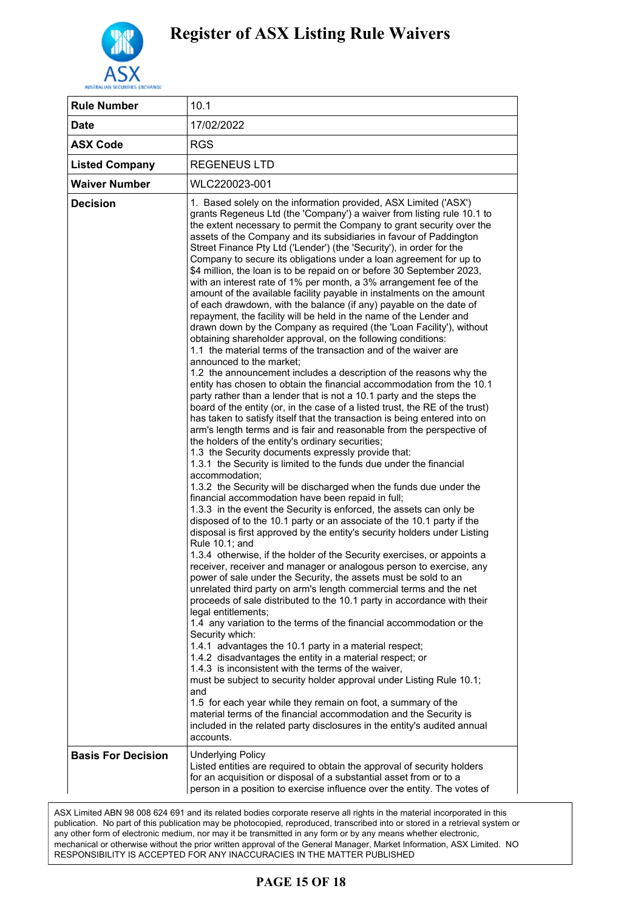

| <b>Rule Number</b>        | 10.1                                                                                                                                                                                                                                                                                                                                                                                                                                                                                                                                                                                                                                                                                                                                                                                                                                                                                                                                                                                                                                                                                                                                                                                                                                                                                                                                                                                                                                                                                                                                                                                                                                                                                                                                                                                                                                                                                                                                                                                                                                                                                                                                                                                                                                                                                                                                                                                                                                                                                                                                                                                                                                                                                                                                                                                                                                                                                                                                                                                                                                                                             |
|---------------------------|----------------------------------------------------------------------------------------------------------------------------------------------------------------------------------------------------------------------------------------------------------------------------------------------------------------------------------------------------------------------------------------------------------------------------------------------------------------------------------------------------------------------------------------------------------------------------------------------------------------------------------------------------------------------------------------------------------------------------------------------------------------------------------------------------------------------------------------------------------------------------------------------------------------------------------------------------------------------------------------------------------------------------------------------------------------------------------------------------------------------------------------------------------------------------------------------------------------------------------------------------------------------------------------------------------------------------------------------------------------------------------------------------------------------------------------------------------------------------------------------------------------------------------------------------------------------------------------------------------------------------------------------------------------------------------------------------------------------------------------------------------------------------------------------------------------------------------------------------------------------------------------------------------------------------------------------------------------------------------------------------------------------------------------------------------------------------------------------------------------------------------------------------------------------------------------------------------------------------------------------------------------------------------------------------------------------------------------------------------------------------------------------------------------------------------------------------------------------------------------------------------------------------------------------------------------------------------------------------------------------------------------------------------------------------------------------------------------------------------------------------------------------------------------------------------------------------------------------------------------------------------------------------------------------------------------------------------------------------------------------------------------------------------------------------------------------------------|
| <b>Date</b>               | 17/02/2022                                                                                                                                                                                                                                                                                                                                                                                                                                                                                                                                                                                                                                                                                                                                                                                                                                                                                                                                                                                                                                                                                                                                                                                                                                                                                                                                                                                                                                                                                                                                                                                                                                                                                                                                                                                                                                                                                                                                                                                                                                                                                                                                                                                                                                                                                                                                                                                                                                                                                                                                                                                                                                                                                                                                                                                                                                                                                                                                                                                                                                                                       |
| <b>ASX Code</b>           | <b>RGS</b>                                                                                                                                                                                                                                                                                                                                                                                                                                                                                                                                                                                                                                                                                                                                                                                                                                                                                                                                                                                                                                                                                                                                                                                                                                                                                                                                                                                                                                                                                                                                                                                                                                                                                                                                                                                                                                                                                                                                                                                                                                                                                                                                                                                                                                                                                                                                                                                                                                                                                                                                                                                                                                                                                                                                                                                                                                                                                                                                                                                                                                                                       |
| <b>Listed Company</b>     | <b>REGENEUS LTD</b>                                                                                                                                                                                                                                                                                                                                                                                                                                                                                                                                                                                                                                                                                                                                                                                                                                                                                                                                                                                                                                                                                                                                                                                                                                                                                                                                                                                                                                                                                                                                                                                                                                                                                                                                                                                                                                                                                                                                                                                                                                                                                                                                                                                                                                                                                                                                                                                                                                                                                                                                                                                                                                                                                                                                                                                                                                                                                                                                                                                                                                                              |
| <b>Waiver Number</b>      | WLC220023-001                                                                                                                                                                                                                                                                                                                                                                                                                                                                                                                                                                                                                                                                                                                                                                                                                                                                                                                                                                                                                                                                                                                                                                                                                                                                                                                                                                                                                                                                                                                                                                                                                                                                                                                                                                                                                                                                                                                                                                                                                                                                                                                                                                                                                                                                                                                                                                                                                                                                                                                                                                                                                                                                                                                                                                                                                                                                                                                                                                                                                                                                    |
| <b>Decision</b>           | 1. Based solely on the information provided, ASX Limited ('ASX')<br>grants Regeneus Ltd (the 'Company') a waiver from listing rule 10.1 to<br>the extent necessary to permit the Company to grant security over the<br>assets of the Company and its subsidiaries in favour of Paddington<br>Street Finance Pty Ltd ('Lender') (the 'Security'), in order for the<br>Company to secure its obligations under a loan agreement for up to<br>\$4 million, the loan is to be repaid on or before 30 September 2023,<br>with an interest rate of 1% per month, a 3% arrangement fee of the<br>amount of the available facility payable in instalments on the amount<br>of each drawdown, with the balance (if any) payable on the date of<br>repayment, the facility will be held in the name of the Lender and<br>drawn down by the Company as required (the 'Loan Facility'), without<br>obtaining shareholder approval, on the following conditions:<br>1.1 the material terms of the transaction and of the waiver are<br>announced to the market:<br>1.2 the announcement includes a description of the reasons why the<br>entity has chosen to obtain the financial accommodation from the 10.1<br>party rather than a lender that is not a 10.1 party and the steps the<br>board of the entity (or, in the case of a listed trust, the RE of the trust)<br>has taken to satisfy itself that the transaction is being entered into on<br>arm's length terms and is fair and reasonable from the perspective of<br>the holders of the entity's ordinary securities;<br>1.3 the Security documents expressly provide that:<br>1.3.1 the Security is limited to the funds due under the financial<br>accommodation;<br>1.3.2 the Security will be discharged when the funds due under the<br>financial accommodation have been repaid in full;<br>1.3.3 in the event the Security is enforced, the assets can only be<br>disposed of to the 10.1 party or an associate of the 10.1 party if the<br>disposal is first approved by the entity's security holders under Listing<br>Rule 10.1; and<br>1.3.4 otherwise, if the holder of the Security exercises, or appoints a<br>receiver, receiver and manager or analogous person to exercise, any<br>power of sale under the Security, the assets must be sold to an<br>unrelated third party on arm's length commercial terms and the net<br>proceeds of sale distributed to the 10.1 party in accordance with their<br>legal entitlements;<br>1.4 any variation to the terms of the financial accommodation or the<br>Security which:<br>1.4.1 advantages the 10.1 party in a material respect;<br>1.4.2 disadvantages the entity in a material respect; or<br>1.4.3 is inconsistent with the terms of the waiver,<br>must be subject to security holder approval under Listing Rule 10.1;<br>and<br>1.5 for each year while they remain on foot, a summary of the<br>material terms of the financial accommodation and the Security is<br>included in the related party disclosures in the entity's audited annual<br>accounts. |
| <b>Basis For Decision</b> | <b>Underlying Policy</b><br>Listed entities are required to obtain the approval of security holders<br>for an acquisition or disposal of a substantial asset from or to a                                                                                                                                                                                                                                                                                                                                                                                                                                                                                                                                                                                                                                                                                                                                                                                                                                                                                                                                                                                                                                                                                                                                                                                                                                                                                                                                                                                                                                                                                                                                                                                                                                                                                                                                                                                                                                                                                                                                                                                                                                                                                                                                                                                                                                                                                                                                                                                                                                                                                                                                                                                                                                                                                                                                                                                                                                                                                                        |
|                           | person in a position to exercise influence over the entity. The votes of                                                                                                                                                                                                                                                                                                                                                                                                                                                                                                                                                                                                                                                                                                                                                                                                                                                                                                                                                                                                                                                                                                                                                                                                                                                                                                                                                                                                                                                                                                                                                                                                                                                                                                                                                                                                                                                                                                                                                                                                                                                                                                                                                                                                                                                                                                                                                                                                                                                                                                                                                                                                                                                                                                                                                                                                                                                                                                                                                                                                         |

ASX Limited ABN 98 008 624 691 and its related bodies corporate reserve all rights in the material incorporated in this publication. No part of this publication may be photocopied, reproduced, transcribed into or stored in a retrieval system or any other form of electronic medium, nor may it be transmitted in any form or by any means whether electronic, mechanical or otherwise without the prior written approval of the General Manager, Market Information, ASX Limited. NO RESPONSIBILITY IS ACCEPTED FOR ANY INACCURACIES IN THE MATTER PUBLISHED

### security holders having approved that transaction with the benefit of **PAGE 15 OF 18**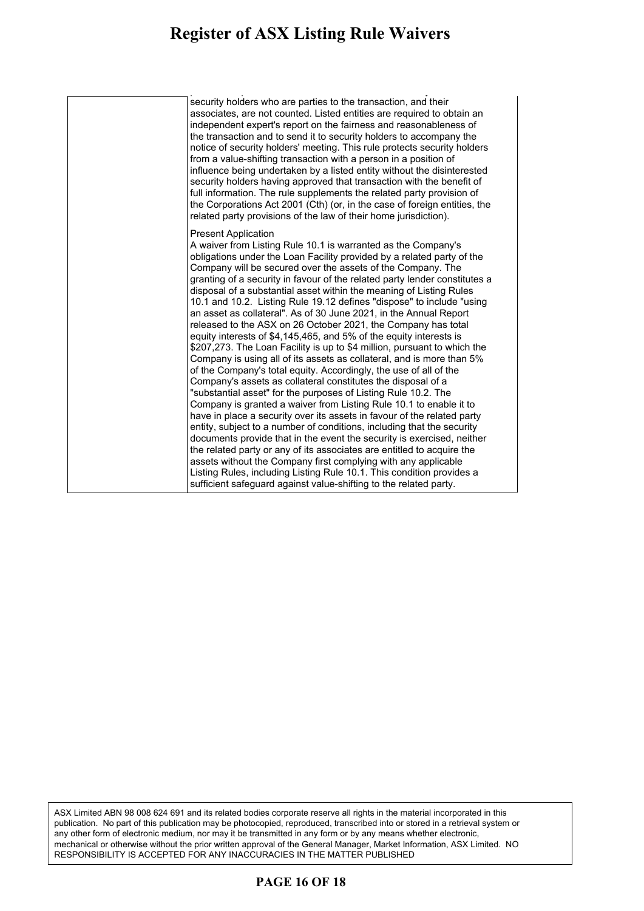| security holders who are parties to the transaction, and their<br>associates, are not counted. Listed entities are required to obtain an<br>independent expert's report on the fairness and reasonableness of<br>the transaction and to send it to security holders to accompany the<br>notice of security holders' meeting. This rule protects security holders<br>from a value-shifting transaction with a person in a position of<br>influence being undertaken by a listed entity without the disinterested<br>security holders having approved that transaction with the benefit of<br>full information. The rule supplements the related party provision of<br>the Corporations Act 2001 (Cth) (or, in the case of foreign entities, the<br>related party provisions of the law of their home jurisdiction).                                                                                                                                                                                                                                                                                                                                                                                                                                                                                                                                                                                                        |
|---------------------------------------------------------------------------------------------------------------------------------------------------------------------------------------------------------------------------------------------------------------------------------------------------------------------------------------------------------------------------------------------------------------------------------------------------------------------------------------------------------------------------------------------------------------------------------------------------------------------------------------------------------------------------------------------------------------------------------------------------------------------------------------------------------------------------------------------------------------------------------------------------------------------------------------------------------------------------------------------------------------------------------------------------------------------------------------------------------------------------------------------------------------------------------------------------------------------------------------------------------------------------------------------------------------------------------------------------------------------------------------------------------------------------|
| <b>Present Application</b><br>A waiver from Listing Rule 10.1 is warranted as the Company's<br>obligations under the Loan Facility provided by a related party of the<br>Company will be secured over the assets of the Company. The<br>granting of a security in favour of the related party lender constitutes a<br>disposal of a substantial asset within the meaning of Listing Rules<br>10.1 and 10.2. Listing Rule 19.12 defines "dispose" to include "using<br>an asset as collateral". As of 30 June 2021, in the Annual Report<br>released to the ASX on 26 October 2021, the Company has total<br>equity interests of \$4,145,465, and 5% of the equity interests is<br>\$207,273. The Loan Facility is up to \$4 million, pursuant to which the<br>Company is using all of its assets as collateral, and is more than 5%<br>of the Company's total equity. Accordingly, the use of all of the<br>Company's assets as collateral constitutes the disposal of a<br>"substantial asset" for the purposes of Listing Rule 10.2. The<br>Company is granted a waiver from Listing Rule 10.1 to enable it to<br>have in place a security over its assets in favour of the related party<br>entity, subject to a number of conditions, including that the security<br>documents provide that in the event the security is exercised, neither<br>the related party or any of its associates are entitled to acquire the |
| assets without the Company first complying with any applicable<br>Listing Rules, including Listing Rule 10.1. This condition provides a<br>sufficient safeguard against value-shifting to the related party.                                                                                                                                                                                                                                                                                                                                                                                                                                                                                                                                                                                                                                                                                                                                                                                                                                                                                                                                                                                                                                                                                                                                                                                                              |

ASX Limited ABN 98 008 624 691 and its related bodies corporate reserve all rights in the material incorporated in this publication. No part of this publication may be photocopied, reproduced, transcribed into or stored in a retrieval system or any other form of electronic medium, nor may it be transmitted in any form or by any means whether electronic, mechanical or otherwise without the prior written approval of the General Manager, Market Information, ASX Limited. NO RESPONSIBILITY IS ACCEPTED FOR ANY INACCURACIES IN THE MATTER PUBLISHED

#### **PAGE 16 OF 18**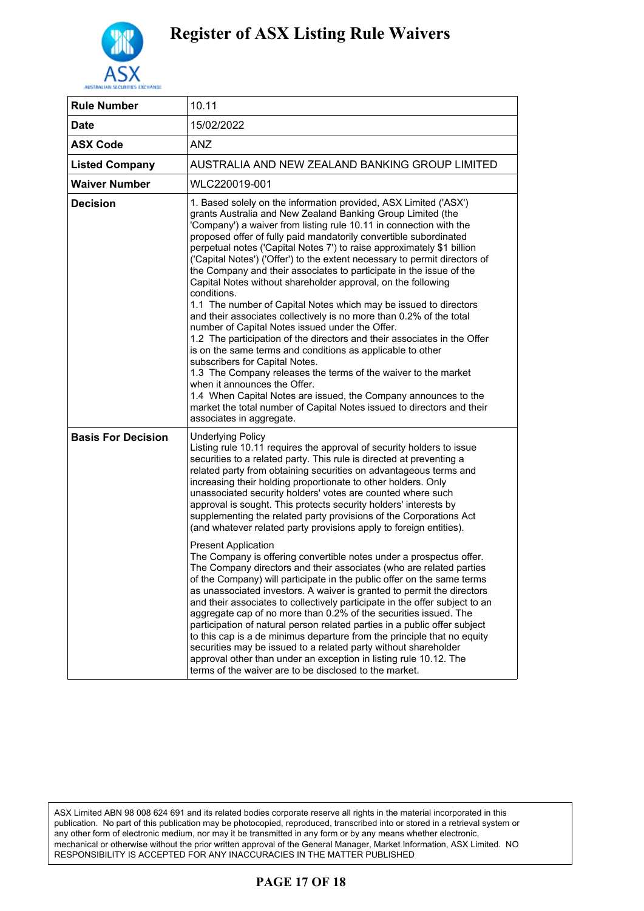

| <b>Rule Number</b>        | 10.11                                                                                                                                                                                                                                                                                                                                                                                                                                                                                                                                                                                                                                                                                                                                                                                                                                                                                                                                                                                                                                                                                                                                                                                                                                                                                                                                                                                                                                       |
|---------------------------|---------------------------------------------------------------------------------------------------------------------------------------------------------------------------------------------------------------------------------------------------------------------------------------------------------------------------------------------------------------------------------------------------------------------------------------------------------------------------------------------------------------------------------------------------------------------------------------------------------------------------------------------------------------------------------------------------------------------------------------------------------------------------------------------------------------------------------------------------------------------------------------------------------------------------------------------------------------------------------------------------------------------------------------------------------------------------------------------------------------------------------------------------------------------------------------------------------------------------------------------------------------------------------------------------------------------------------------------------------------------------------------------------------------------------------------------|
| Date                      | 15/02/2022                                                                                                                                                                                                                                                                                                                                                                                                                                                                                                                                                                                                                                                                                                                                                                                                                                                                                                                                                                                                                                                                                                                                                                                                                                                                                                                                                                                                                                  |
| <b>ASX Code</b>           | <b>ANZ</b>                                                                                                                                                                                                                                                                                                                                                                                                                                                                                                                                                                                                                                                                                                                                                                                                                                                                                                                                                                                                                                                                                                                                                                                                                                                                                                                                                                                                                                  |
| <b>Listed Company</b>     | AUSTRALIA AND NEW ZEALAND BANKING GROUP LIMITED                                                                                                                                                                                                                                                                                                                                                                                                                                                                                                                                                                                                                                                                                                                                                                                                                                                                                                                                                                                                                                                                                                                                                                                                                                                                                                                                                                                             |
| <b>Waiver Number</b>      | WLC220019-001                                                                                                                                                                                                                                                                                                                                                                                                                                                                                                                                                                                                                                                                                                                                                                                                                                                                                                                                                                                                                                                                                                                                                                                                                                                                                                                                                                                                                               |
| Decision                  | 1. Based solely on the information provided, ASX Limited ('ASX')<br>grants Australia and New Zealand Banking Group Limited (the<br>'Company') a waiver from listing rule 10.11 in connection with the<br>proposed offer of fully paid mandatorily convertible subordinated<br>perpetual notes ('Capital Notes 7') to raise approximately \$1 billion<br>('Capital Notes') ('Offer') to the extent necessary to permit directors of<br>the Company and their associates to participate in the issue of the<br>Capital Notes without shareholder approval, on the following<br>conditions.<br>1.1 The number of Capital Notes which may be issued to directors<br>and their associates collectively is no more than 0.2% of the total<br>number of Capital Notes issued under the Offer.<br>1.2 The participation of the directors and their associates in the Offer<br>is on the same terms and conditions as applicable to other<br>subscribers for Capital Notes.<br>1.3 The Company releases the terms of the waiver to the market<br>when it announces the Offer.<br>1.4 When Capital Notes are issued, the Company announces to the<br>market the total number of Capital Notes issued to directors and their<br>associates in aggregate.                                                                                                                                                                                               |
| <b>Basis For Decision</b> | <b>Underlying Policy</b><br>Listing rule 10.11 requires the approval of security holders to issue<br>securities to a related party. This rule is directed at preventing a<br>related party from obtaining securities on advantageous terms and<br>increasing their holding proportionate to other holders. Only<br>unassociated security holders' votes are counted where such<br>approval is sought. This protects security holders' interests by<br>supplementing the related party provisions of the Corporations Act<br>(and whatever related party provisions apply to foreign entities).<br><b>Present Application</b><br>The Company is offering convertible notes under a prospectus offer.<br>The Company directors and their associates (who are related parties<br>of the Company) will participate in the public offer on the same terms<br>as unassociated investors. A waiver is granted to permit the directors<br>and their associates to collectively participate in the offer subject to an<br>aggregate cap of no more than 0.2% of the securities issued. The<br>participation of natural person related parties in a public offer subject<br>to this cap is a de minimus departure from the principle that no equity<br>securities may be issued to a related party without shareholder<br>approval other than under an exception in listing rule 10.12. The<br>terms of the waiver are to be disclosed to the market. |

ASX Limited ABN 98 008 624 691 and its related bodies corporate reserve all rights in the material incorporated in this publication. No part of this publication may be photocopied, reproduced, transcribed into or stored in a retrieval system or any other form of electronic medium, nor may it be transmitted in any form or by any means whether electronic, mechanical or otherwise without the prior written approval of the General Manager, Market Information, ASX Limited. NO RESPONSIBILITY IS ACCEPTED FOR ANY INACCURACIES IN THE MATTER PUBLISHED

### **PAGE 17 OF 18**